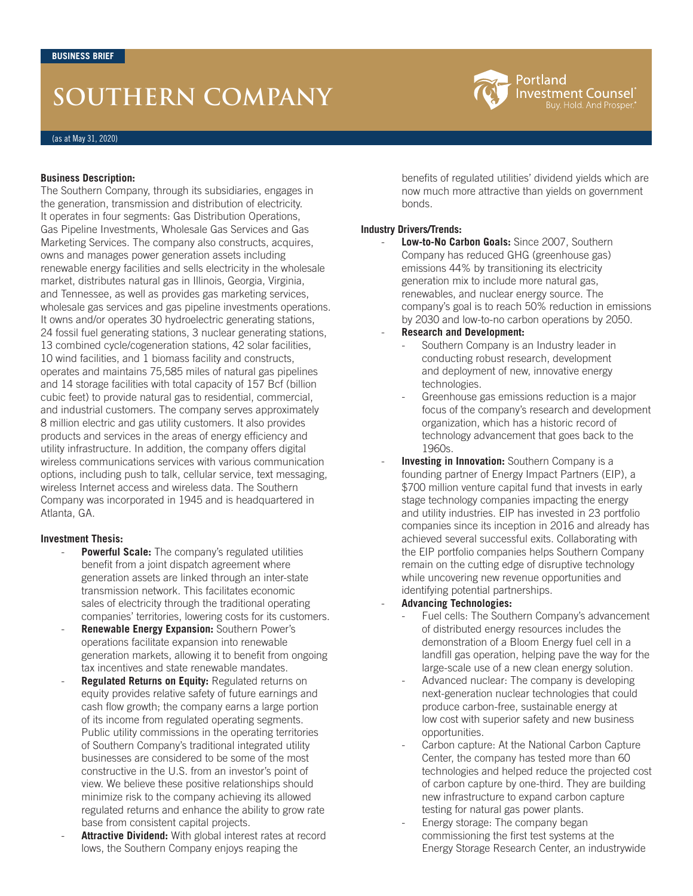# **SOUTHERN COMPANY**



#### **Business Description:**

The Southern Company, through its subsidiaries, engages in the generation, transmission and distribution of electricity. It operates in four segments: Gas Distribution Operations, Gas Pipeline Investments, Wholesale Gas Services and Gas Marketing Services. The company also constructs, acquires, owns and manages power generation assets including renewable energy facilities and sells electricity in the wholesale market, distributes natural gas in Illinois, Georgia, Virginia, and Tennessee, as well as provides gas marketing services, wholesale gas services and gas pipeline investments operations. It owns and/or operates 30 hydroelectric generating stations, 24 fossil fuel generating stations, 3 nuclear generating stations, 13 combined cycle/cogeneration stations, 42 solar facilities, 10 wind facilities, and 1 biomass facility and constructs, operates and maintains 75,585 miles of natural gas pipelines and 14 storage facilities with total capacity of 157 Bcf (billion cubic feet) to provide natural gas to residential, commercial, and industrial customers. The company serves approximately 8 million electric and gas utility customers. It also provides products and services in the areas of energy efficiency and utility infrastructure. In addition, the company offers digital wireless communications services with various communication options, including push to talk, cellular service, text messaging, wireless Internet access and wireless data. The Southern Company was incorporated in 1945 and is headquartered in Atlanta, GA.

#### **Investment Thesis:**

- **Powerful Scale:** The company's regulated utilities benefit from a joint dispatch agreement where generation assets are linked through an inter-state transmission network. This facilitates economic sales of electricity through the traditional operating companies' territories, lowering costs for its customers.
- **Renewable Energy Expansion:** Southern Power's operations facilitate expansion into renewable generation markets, allowing it to benefit from ongoing tax incentives and state renewable mandates.
- **Regulated Returns on Equity: Regulated returns on** equity provides relative safety of future earnings and cash flow growth; the company earns a large portion of its income from regulated operating segments. Public utility commissions in the operating territories of Southern Company's traditional integrated utility businesses are considered to be some of the most constructive in the U.S. from an investor's point of view. We believe these positive relationships should minimize risk to the company achieving its allowed regulated returns and enhance the ability to grow rate base from consistent capital projects.
- Attractive Dividend: With global interest rates at record lows, the Southern Company enjoys reaping the

benefits of regulated utilities' dividend yields which are now much more attractive than yields on government bonds.

### **Industry Drivers/Trends:**

- Low-to-No Carbon Goals: Since 2007, Southern Company has reduced GHG (greenhouse gas) emissions 44% by transitioning its electricity generation mix to include more natural gas, renewables, and nuclear energy source. The company's goal is to reach 50% reduction in emissions by 2030 and low-to-no carbon operations by 2050.
- **Research and Development:** 
	- Southern Company is an Industry leader in conducting robust research, development and deployment of new, innovative energy technologies.
	- Greenhouse gas emissions reduction is a major focus of the company's research and development organization, which has a historic record of technology advancement that goes back to the 1960s.
- **Investing in Innovation:** Southern Company is a founding partner of Energy Impact Partners (EIP), a \$700 million venture capital fund that invests in early stage technology companies impacting the energy and utility industries. EIP has invested in 23 portfolio companies since its inception in 2016 and already has achieved several successful exits. Collaborating with the EIP portfolio companies helps Southern Company remain on the cutting edge of disruptive technology while uncovering new revenue opportunities and identifying potential partnerships.
- **Advancing Technologies:**
	- Fuel cells: The Southern Company's advancement of distributed energy resources includes the demonstration of a Bloom Energy fuel cell in a landfill gas operation, helping pave the way for the large-scale use of a new clean energy solution.
	- Advanced nuclear: The company is developing next-generation nuclear technologies that could produce carbon-free, sustainable energy at low cost with superior safety and new business opportunities.
	- Carbon capture: At the National Carbon Capture Center, the company has tested more than 60 technologies and helped reduce the projected cost of carbon capture by one-third. They are building new infrastructure to expand carbon capture testing for natural gas power plants.
	- Energy storage: The company began commissioning the first test systems at the Energy Storage Research Center, an industrywide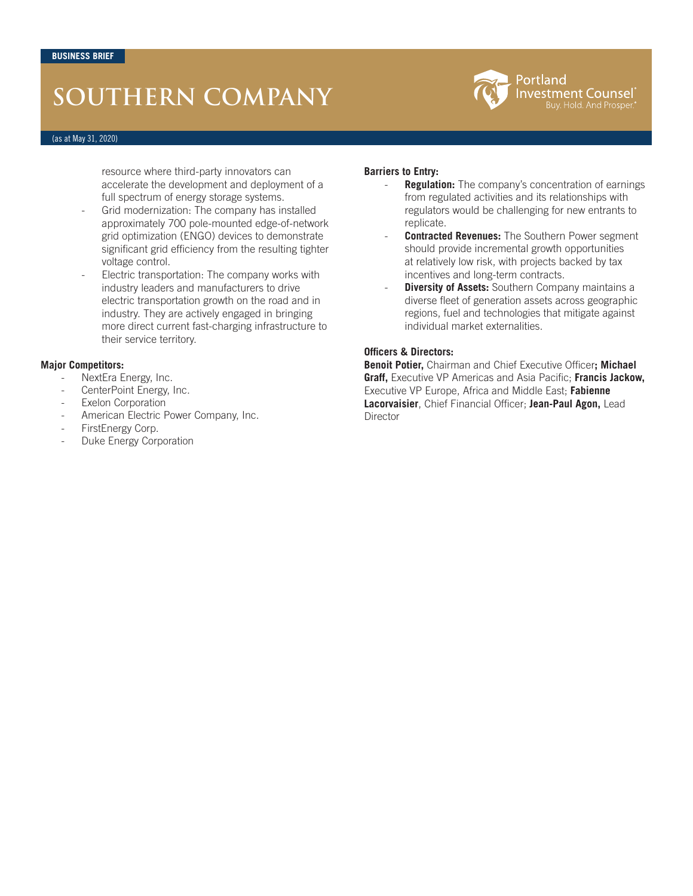# **SOUTHERN COMPANY**



#### (as at May 31, 2020)

resource where third-party innovators can accelerate the development and deployment of a full spectrum of energy storage systems.

- Grid modernization: The company has installed approximately 700 pole-mounted edge-of-network grid optimization (ENGO) devices to demonstrate significant grid efficiency from the resulting tighter voltage control.
- Electric transportation: The company works with industry leaders and manufacturers to drive electric transportation growth on the road and in industry. They are actively engaged in bringing more direct current fast-charging infrastructure to their service territory.

#### **Major Competitors:**

- NextEra Energy, Inc.
- CenterPoint Energy, Inc.
- Exelon Corporation
- American Electric Power Company, Inc.
- FirstEnergy Corp.
- Duke Energy Corporation

#### **Barriers to Entry:**

- **Regulation:** The company's concentration of earnings from regulated activities and its relationships with regulators would be challenging for new entrants to replicate.
- **Contracted Revenues:** The Southern Power segment should provide incremental growth opportunities at relatively low risk, with projects backed by tax incentives and long-term contracts.
- **Diversity of Assets:** Southern Company maintains a diverse fleet of generation assets across geographic regions, fuel and technologies that mitigate against individual market externalities.

### **Officers & Directors:**

**Benoit Potier,** Chairman and Chief Executive Officer**; Michael Graff,** Executive VP Americas and Asia Pacific; **Francis Jackow,**  Executive VP Europe, Africa and Middle East; **Fabienne Lacorvaisier**, Chief Financial Officer; **Jean-Paul Agon,** Lead Director